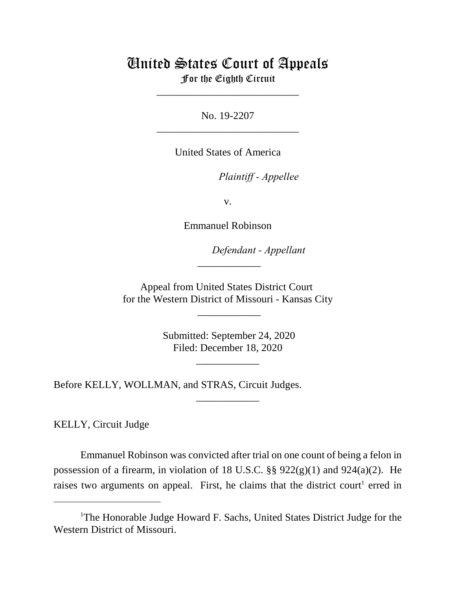## United States Court of Appeals For the Eighth Circuit

\_\_\_\_\_\_\_\_\_\_\_\_\_\_\_\_\_\_\_\_\_\_\_\_\_\_\_

No. 19-2207 \_\_\_\_\_\_\_\_\_\_\_\_\_\_\_\_\_\_\_\_\_\_\_\_\_\_\_

United States of America

*Plaintiff - Appellee* 

v.

Emmanuel Robinson

lllllllllllllllllllll*Defendant - Appellant*

Appeal from United States District Court for the Western District of Missouri - Kansas City

 $\overline{\phantom{a}}$ 

\_\_\_\_\_\_\_\_\_\_\_\_

 Submitted: September 24, 2020 Filed: December 18, 2020

\_\_\_\_\_\_\_\_\_\_\_\_

\_\_\_\_\_\_\_\_\_\_\_\_

Before KELLY, WOLLMAN, and STRAS, Circuit Judges.

KELLY, Circuit Judge

Emmanuel Robinson was convicted after trial on one count of being a felon in possession of a firearm, in violation of 18 U.S.C.  $\S$ § 922(g)(1) and 924(a)(2). He raises two arguments on appeal. First, he claims that the district court<sup>1</sup> erred in

<sup>&</sup>lt;sup>1</sup>The Honorable Judge Howard F. Sachs, United States District Judge for the Western District of Missouri.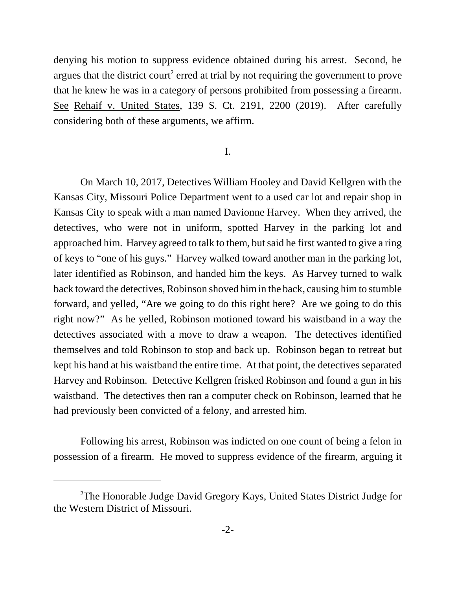denying his motion to suppress evidence obtained during his arrest. Second, he argues that the district court<sup>2</sup> erred at trial by not requiring the government to prove that he knew he was in a category of persons prohibited from possessing a firearm. See Rehaif v. United States, 139 S. Ct. 2191, 2200 (2019). After carefully considering both of these arguments, we affirm.

## I.

On March 10, 2017, Detectives William Hooley and David Kellgren with the Kansas City, Missouri Police Department went to a used car lot and repair shop in Kansas City to speak with a man named Davionne Harvey. When they arrived, the detectives, who were not in uniform, spotted Harvey in the parking lot and approached him. Harvey agreed to talk to them, but said he first wanted to give a ring of keys to "one of his guys." Harvey walked toward another man in the parking lot, later identified as Robinson, and handed him the keys. As Harvey turned to walk back toward the detectives, Robinson shoved him in the back, causing him to stumble forward, and yelled, "Are we going to do this right here? Are we going to do this right now?" As he yelled, Robinson motioned toward his waistband in a way the detectives associated with a move to draw a weapon. The detectives identified themselves and told Robinson to stop and back up. Robinson began to retreat but kept his hand at his waistband the entire time. At that point, the detectives separated Harvey and Robinson. Detective Kellgren frisked Robinson and found a gun in his waistband. The detectives then ran a computer check on Robinson, learned that he had previously been convicted of a felony, and arrested him.

Following his arrest, Robinson was indicted on one count of being a felon in possession of a firearm. He moved to suppress evidence of the firearm, arguing it

<sup>2</sup>The Honorable Judge David Gregory Kays, United States District Judge for the Western District of Missouri.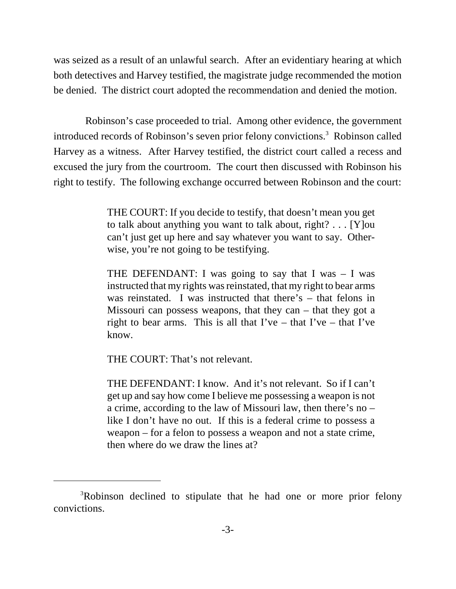was seized as a result of an unlawful search. After an evidentiary hearing at which both detectives and Harvey testified, the magistrate judge recommended the motion be denied. The district court adopted the recommendation and denied the motion.

 Robinson's case proceeded to trial. Among other evidence, the government introduced records of Robinson's seven prior felony convictions.<sup>3</sup> Robinson called Harvey as a witness. After Harvey testified, the district court called a recess and excused the jury from the courtroom. The court then discussed with Robinson his right to testify. The following exchange occurred between Robinson and the court:

> THE COURT: If you decide to testify, that doesn't mean you get to talk about anything you want to talk about, right? . . . [Y]ou can't just get up here and say whatever you want to say. Otherwise, you're not going to be testifying.

> THE DEFENDANT: I was going to say that I was  $-$  I was instructed that my rights was reinstated, that my right to bear arms was reinstated. I was instructed that there's – that felons in Missouri can possess weapons, that they can – that they got a right to bear arms. This is all that  $\Gamma$  ve – that  $\Gamma$  ve – that  $\Gamma$  ve know.

THE COURT: That's not relevant.

THE DEFENDANT: I know. And it's not relevant. So if I can't get up and say how come I believe me possessing a weapon is not a crime, according to the law of Missouri law, then there's no – like I don't have no out. If this is a federal crime to possess a weapon – for a felon to possess a weapon and not a state crime, then where do we draw the lines at?

<sup>&</sup>lt;sup>3</sup>Robinson declined to stipulate that he had one or more prior felony convictions.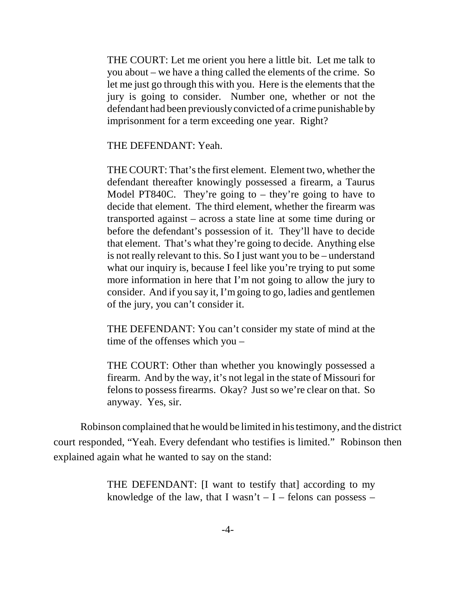THE COURT: Let me orient you here a little bit. Let me talk to you about – we have a thing called the elements of the crime. So let me just go through this with you. Here is the elements that the jury is going to consider. Number one, whether or not the defendant had been previously convicted of a crime punishable by imprisonment for a term exceeding one year. Right?

THE DEFENDANT: Yeah.

THE COURT: That's the first element. Element two, whether the defendant thereafter knowingly possessed a firearm, a Taurus Model PT840C. They're going to – they're going to have to decide that element. The third element, whether the firearm was transported against – across a state line at some time during or before the defendant's possession of it. They'll have to decide that element. That's what they're going to decide. Anything else is not really relevant to this. So I just want you to be – understand what our inquiry is, because I feel like you're trying to put some more information in here that I'm not going to allow the jury to consider. And if you say it, I'm going to go, ladies and gentlemen of the jury, you can't consider it.

THE DEFENDANT: You can't consider my state of mind at the time of the offenses which you –

THE COURT: Other than whether you knowingly possessed a firearm. And by the way, it's not legal in the state of Missouri for felons to possess firearms. Okay? Just so we're clear on that. So anyway. Yes, sir.

Robinson complained that he would be limited in his testimony, and the district court responded, "Yeah. Every defendant who testifies is limited." Robinson then explained again what he wanted to say on the stand:

> THE DEFENDANT: [I want to testify that] according to my knowledge of the law, that I wasn't  $-I$  – felons can possess –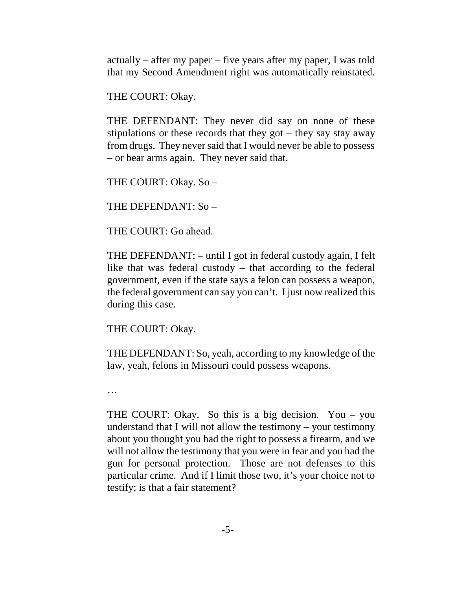actually – after my paper – five years after my paper, I was told that my Second Amendment right was automatically reinstated.

THE COURT: Okay.

THE DEFENDANT: They never did say on none of these stipulations or these records that they got – they say stay away from drugs. They never said that I would never be able to possess – or bear arms again. They never said that.

THE COURT: Okay. So –

THE DEFENDANT: So –

THE COURT: Go ahead.

THE DEFENDANT: – until I got in federal custody again, I felt like that was federal custody – that according to the federal government, even if the state says a felon can possess a weapon, the federal government can say you can't. I just now realized this during this case.

THE COURT: Okay.

THE DEFENDANT: So, yeah, according to my knowledge of the law, yeah, felons in Missouri could possess weapons.

…

THE COURT: Okay. So this is a big decision. You – you understand that I will not allow the testimony – your testimony about you thought you had the right to possess a firearm, and we will not allow the testimony that you were in fear and you had the gun for personal protection. Those are not defenses to this particular crime. And if I limit those two, it's your choice not to testify; is that a fair statement?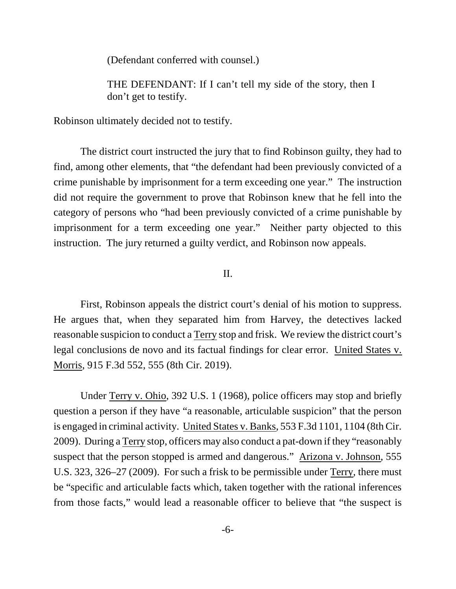(Defendant conferred with counsel.)

THE DEFENDANT: If I can't tell my side of the story, then I don't get to testify.

Robinson ultimately decided not to testify.

The district court instructed the jury that to find Robinson guilty, they had to find, among other elements, that "the defendant had been previously convicted of a crime punishable by imprisonment for a term exceeding one year." The instruction did not require the government to prove that Robinson knew that he fell into the category of persons who "had been previously convicted of a crime punishable by imprisonment for a term exceeding one year." Neither party objected to this instruction. The jury returned a guilty verdict, and Robinson now appeals.

## II.

First, Robinson appeals the district court's denial of his motion to suppress. He argues that, when they separated him from Harvey, the detectives lacked reasonable suspicion to conduct a Terry stop and frisk. We review the district court's legal conclusions de novo and its factual findings for clear error. United States v. Morris, 915 F.3d 552, 555 (8th Cir. 2019).

Under Terry v. Ohio, 392 U.S. 1 (1968), police officers may stop and briefly question a person if they have "a reasonable, articulable suspicion" that the person is engaged in criminal activity. United States v. Banks, 553 F.3d 1101, 1104 (8th Cir. 2009). During a Terry stop, officers may also conduct a pat-down if they "reasonably suspect that the person stopped is armed and dangerous." Arizona v. Johnson, 555 U.S. 323, 326–27 (2009). For such a frisk to be permissible under Terry, there must be "specific and articulable facts which, taken together with the rational inferences from those facts," would lead a reasonable officer to believe that "the suspect is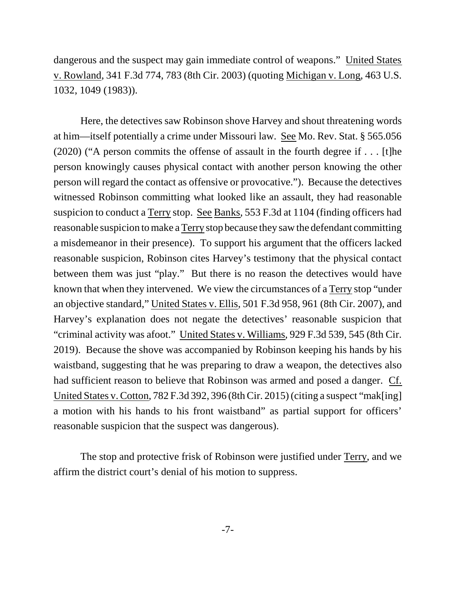dangerous and the suspect may gain immediate control of weapons." United States v. Rowland, 341 F.3d 774, 783 (8th Cir. 2003) (quoting Michigan v. Long, 463 U.S. 1032, 1049 (1983)).

Here, the detectives saw Robinson shove Harvey and shout threatening words at him—itself potentially a crime under Missouri law. See Mo. Rev. Stat. § 565.056 (2020) ("A person commits the offense of assault in the fourth degree if . . . [t]he person knowingly causes physical contact with another person knowing the other person will regard the contact as offensive or provocative."). Because the detectives witnessed Robinson committing what looked like an assault, they had reasonable suspicion to conduct a Terry stop. See Banks, 553 F.3d at 1104 (finding officers had reasonable suspicion to make a Terry stop because they saw the defendant committing a misdemeanor in their presence). To support his argument that the officers lacked reasonable suspicion, Robinson cites Harvey's testimony that the physical contact between them was just "play." But there is no reason the detectives would have known that when they intervened. We view the circumstances of a Terry stop "under an objective standard," United States v. Ellis, 501 F.3d 958, 961 (8th Cir. 2007), and Harvey's explanation does not negate the detectives' reasonable suspicion that "criminal activity was afoot." United States v. Williams, 929 F.3d 539, 545 (8th Cir. 2019). Because the shove was accompanied by Robinson keeping his hands by his waistband, suggesting that he was preparing to draw a weapon, the detectives also had sufficient reason to believe that Robinson was armed and posed a danger. Cf. United States v. Cotton, 782 F.3d 392, 396 (8th Cir. 2015) (citing a suspect "mak[ing] a motion with his hands to his front waistband" as partial support for officers' reasonable suspicion that the suspect was dangerous).

The stop and protective frisk of Robinson were justified under Terry, and we affirm the district court's denial of his motion to suppress.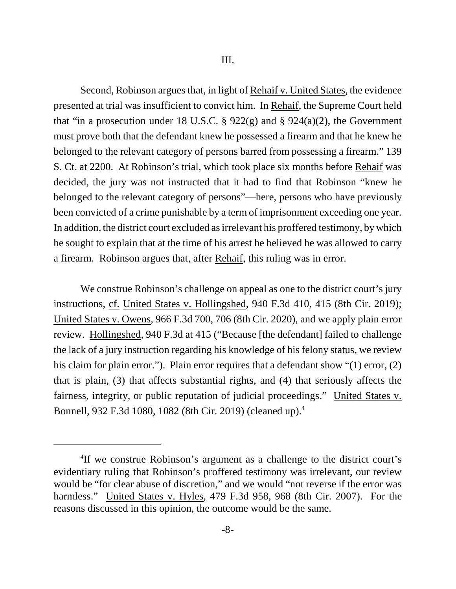Second, Robinson argues that, in light of Rehaif v. United States, the evidence presented at trial was insufficient to convict him. In Rehaif, the Supreme Court held that "in a prosecution under 18 U.S.C. § 922(g) and § 924(a)(2), the Government must prove both that the defendant knew he possessed a firearm and that he knew he belonged to the relevant category of persons barred from possessing a firearm." 139 S. Ct. at 2200. At Robinson's trial, which took place six months before Rehaif was decided, the jury was not instructed that it had to find that Robinson "knew he belonged to the relevant category of persons"—here, persons who have previously been convicted of a crime punishable by a term of imprisonment exceeding one year. In addition, the district court excluded as irrelevant his proffered testimony, by which he sought to explain that at the time of his arrest he believed he was allowed to carry a firearm. Robinson argues that, after Rehaif, this ruling was in error.

We construe Robinson's challenge on appeal as one to the district court's jury instructions, cf. United States v. Hollingshed, 940 F.3d 410, 415 (8th Cir. 2019); United States v. Owens, 966 F.3d 700, 706 (8th Cir. 2020), and we apply plain error review. Hollingshed, 940 F.3d at 415 ("Because [the defendant] failed to challenge the lack of a jury instruction regarding his knowledge of his felony status, we review his claim for plain error."). Plain error requires that a defendant show "(1) error, (2) that is plain, (3) that affects substantial rights, and (4) that seriously affects the fairness, integrity, or public reputation of judicial proceedings." United States v. Bonnell, 932 F.3d 1080, 1082 (8th Cir. 2019) (cleaned up).<sup>4</sup>

<sup>4</sup> If we construe Robinson's argument as a challenge to the district court's evidentiary ruling that Robinson's proffered testimony was irrelevant, our review would be "for clear abuse of discretion," and we would "not reverse if the error was harmless." United States v. Hyles, 479 F.3d 958, 968 (8th Cir. 2007). For the reasons discussed in this opinion, the outcome would be the same.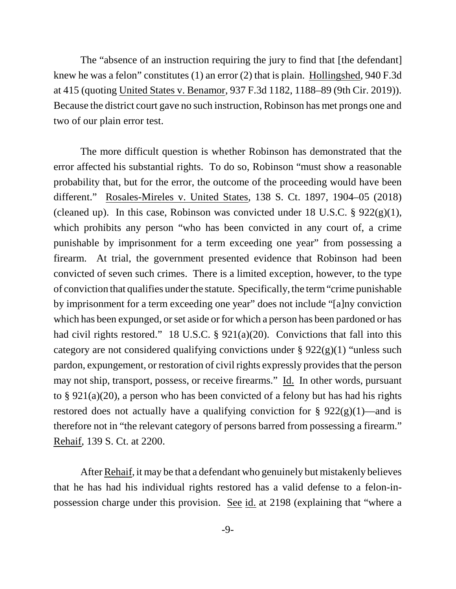The "absence of an instruction requiring the jury to find that [the defendant] knew he was a felon" constitutes (1) an error (2) that is plain. Hollingshed, 940 F.3d at 415 (quoting United States v. Benamor, 937 F.3d 1182, 1188–89 (9th Cir. 2019)). Because the district court gave no such instruction, Robinson has met prongs one and two of our plain error test.

The more difficult question is whether Robinson has demonstrated that the error affected his substantial rights. To do so, Robinson "must show a reasonable probability that, but for the error, the outcome of the proceeding would have been different." Rosales-Mireles v. United States, 138 S. Ct. 1897, 1904–05 (2018) (cleaned up). In this case, Robinson was convicted under 18 U.S.C.  $\S 922(g)(1)$ , which prohibits any person "who has been convicted in any court of, a crime punishable by imprisonment for a term exceeding one year" from possessing a firearm. At trial, the government presented evidence that Robinson had been convicted of seven such crimes. There is a limited exception, however, to the type of conviction that qualifies under the statute. Specifically, the term "crime punishable by imprisonment for a term exceeding one year" does not include "[a]ny conviction which has been expunged, or set aside or for which a person has been pardoned or has had civil rights restored." 18 U.S.C. § 921(a)(20). Convictions that fall into this category are not considered qualifying convictions under  $\S 922(g)(1)$  "unless such pardon, expungement, or restoration of civil rights expressly provides that the person may not ship, transport, possess, or receive firearms." Id. In other words, pursuant to § 921(a)(20), a person who has been convicted of a felony but has had his rights restored does not actually have a qualifying conviction for  $\S 922(g)(1)$ —and is therefore not in "the relevant category of persons barred from possessing a firearm." Rehaif, 139 S. Ct. at 2200.

After Rehaif, it may be that a defendant who genuinely but mistakenly believes that he has had his individual rights restored has a valid defense to a felon-inpossession charge under this provision. See id. at 2198 (explaining that "where a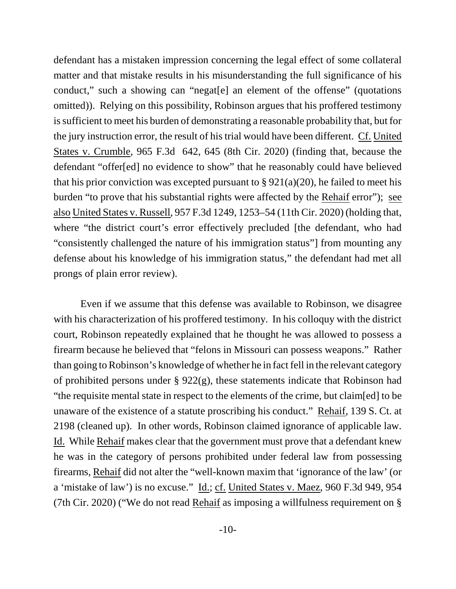defendant has a mistaken impression concerning the legal effect of some collateral matter and that mistake results in his misunderstanding the full significance of his conduct," such a showing can "negat[e] an element of the offense" (quotations omitted)). Relying on this possibility, Robinson argues that his proffered testimony is sufficient to meet his burden of demonstrating a reasonable probability that, but for the jury instruction error, the result of his trial would have been different. Cf. United States v. Crumble, 965 F.3d 642, 645 (8th Cir. 2020) (finding that, because the defendant "offer[ed] no evidence to show" that he reasonably could have believed that his prior conviction was excepted pursuant to  $\S 921(a)(20)$ , he failed to meet his burden "to prove that his substantial rights were affected by the Rehaif error"); see also United States v. Russell, 957 F.3d 1249, 1253–54 (11th Cir. 2020) (holding that, where "the district court's error effectively precluded [the defendant, who had "consistently challenged the nature of his immigration status"] from mounting any defense about his knowledge of his immigration status," the defendant had met all prongs of plain error review).

Even if we assume that this defense was available to Robinson, we disagree with his characterization of his proffered testimony. In his colloquy with the district court, Robinson repeatedly explained that he thought he was allowed to possess a firearm because he believed that "felons in Missouri can possess weapons." Rather than going to Robinson's knowledge of whether he in fact fell in the relevant category of prohibited persons under  $\S 922(g)$ , these statements indicate that Robinson had "the requisite mental state in respect to the elements of the crime, but claim[ed] to be unaware of the existence of a statute proscribing his conduct." Rehaif, 139 S. Ct. at 2198 (cleaned up). In other words, Robinson claimed ignorance of applicable law. Id. While Rehaif makes clear that the government must prove that a defendant knew he was in the category of persons prohibited under federal law from possessing firearms, Rehaif did not alter the "well-known maxim that 'ignorance of the law' (or a 'mistake of law') is no excuse." Id.; cf. United States v. Maez, 960 F.3d 949, 954 (7th Cir. 2020) ("We do not read Rehaif as imposing a willfulness requirement on §